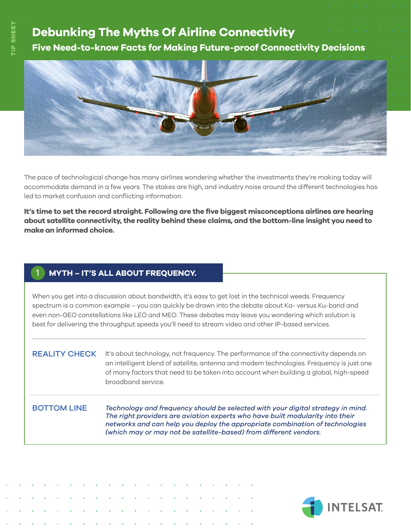# **Debunking The Myths Of Airline Connectivity Five Need-to-know Facts for Making Future-proof Connectivity Decisions**



The pace of technological change has many airlines wondering whether the investments they're making today will accommodate demand in a few years. The stakes are high, and industry noise around the different technologies has led to market confusion and conflicting information.

**It's time to set the record straight. Following are the five biggest misconceptions airlines are hearing about satellite connectivity, the reality behind these claims, and the bottom-line insight you need to make an informed choice.** 

## 1 **MYTH – IT'S ALL ABOUT FREQUENCY.**

When you get into a discussion about bandwidth, it's easy to get lost in the technical weeds. Frequency spectrum is a common example – you can quickly be drawn into the debate about Ka- versus Ku-band and even non-GEO constellations like LEO and MEO. These debates may leave you wondering which solution is best for delivering the throughput speeds you'll need to stream video and other IP-based services.

..............................................................................................................................................................................................................................................................................

REALITY CHECK It's about technology, not frequency. The performance of the connectivity depends on an intelligent blend of satellite, antenna and modem technologies. Frequency is just one of many factors that need to be taken into account when building a global, high-speed broadband service.

## BOTTOM LINE

*Technology and frequency should be selected with your digital strategy in mind. The right providers are aviation experts who have built modularity into their networks and can help you deploy the appropriate combination of technologies (which may or may not be satellite-based) from different vendors.*

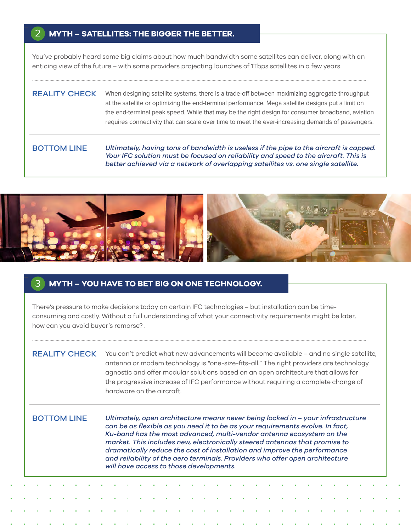### **MYTH – SATELLITES: THE BIGGER THE BETTER.** 2

You've probably heard some big claims about how much bandwidth some satellites can deliver, along with an enticing view of the future – with some providers projecting launches of 1Tbps satellites in a few years.

..............................................................................................................................................................................................................................................................................

## REALITY CHECK When designing satellite systems, there is a trade-off between maximizing aggregate throughput at the satellite or optimizing the end-terminal performance. Mega satellite designs put a limit on the end-terminal peak speed. While that may be the right design for consumer broadband, aviation requires connectivity that can scale over time to meet the ever-increasing demands of passengers.

### BOTTOM LINE

*Ultimately, having tons of bandwidth is useless if the pipe to the aircraft is capped. Your IFC solution must be focused on reliability and speed to the aircraft. This is better achieved via a network of overlapping satellites vs. one single satellite.*



### **MYTH – YOU HAVE TO BET BIG ON ONE TECHNOLOGY.** 3

There's pressure to make decisions today on certain IFC technologies – but installation can be timeconsuming and costly. Without a full understanding of what your connectivity requirements might be later, how can you avoid buyer's remorse? .

..............................................................................................................................................................................................................................................................................

REALITY CHECK You can't predict what new advancements will become available - and no single satellite, antenna or modem technology is "one-size-fits-all." The right providers are technology agnostic and offer modular solutions based on an open architecture that allows for the progressive increase of IFC performance without requiring a complete change of hardware on the aircraft.

### BOTTOM LINE

*Ultimately, open architecture means never being locked in – your infrastructure can be as flexible as you need it to be as your requirements evolve. In fact, Ku-band has the most advanced, multi-vendor antenna ecosystem on the market. This includes new, electronically steered antennas that promise to dramatically reduce the cost of installation and improve the performance and reliability of the aero terminals. Providers who offer open architecture will have access to those developments.*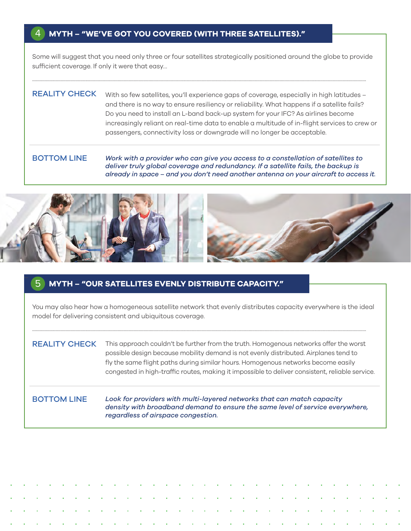### **MYTH – "WE'VE GOT YOU COVERED (WITH THREE SATELLITES)."** 4

Some will suggest that you need only three or four satellites strategically positioned around the globe to provide sufficient coverage. If only it were that easy…

..............................................................................................................................................................................................................................................................................

## REALITY CHECK with so few satellites, you'll experience gaps of coverage, especially in high latitudes and there is no way to ensure resiliency or reliability. What happens if a satellite fails? Do you need to install an L-band back-up system for your IFC? As airlines become increasingly reliant on real-time data to enable a multitude of in-flight services to crew or passengers, connectivity loss or downgrade will no longer be acceptable.

### *Work with a provider who can give you access to a constellation of satellites to deliver truly global coverage and redundancy. If a satellite fails, the backup is already in space – and you don't need another antenna on your aircraft to access it.* BOTTOM LINE



### **MYTH – "OUR SATELLITES EVENLY DISTRIBUTE CAPACITY."** 5

You may also hear how a homogeneous satellite network that evenly distributes capacity everywhere is the ideal model for delivering consistent and ubiquitous coverage.

..............................................................................................................................................................................................................................................................................

REALITY CHECK This approach couldn't be further from the truth. Homogenous networks offer the worst possible design because mobility demand is not evenly distributed. Airplanes tend to fly the same flight paths during similar hours. Homogenous networks become easily congested in high-traffic routes, making it impossible to deliver consistent, reliable service.

## BOTTOM LINE

*Look for providers with multi-layered networks that can match capacity density with broadband demand to ensure the same level of service everywhere, regardless of airspace congestion.*